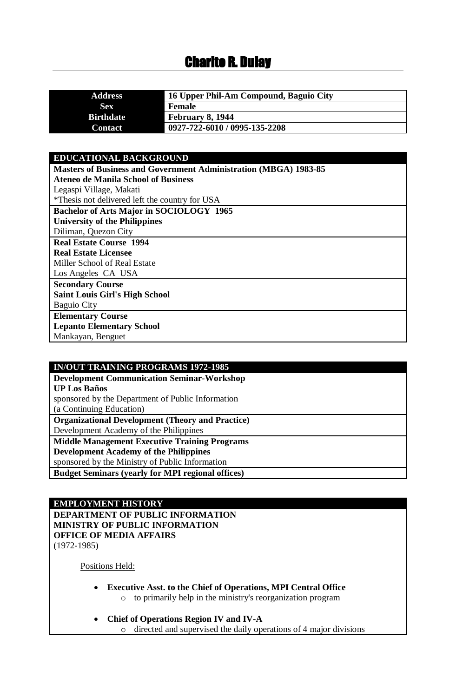# Charito R. Dulay

| <b>Address</b>   | 16 Upper Phil-Am Compound, Baguio City |
|------------------|----------------------------------------|
| <b>Sex</b>       | <b>Female</b>                          |
| <b>Birthdate</b> | February 8, 1944                       |
| <b>Contact</b>   | 0927-722-6010 / 0995-135-2208          |

### **EDUCATIONAL BACKGROUND**

| <b>Masters of Business and Government Administration (MBGA) 1983-85</b> |
|-------------------------------------------------------------------------|
| Ateneo de Manila School of Business                                     |
| Legaspi Village, Makati                                                 |
| *Thesis not delivered left the country for USA                          |
| Bachelor of Arts Major in SOCIOLOGY 1965                                |
| <b>University of the Philippines</b>                                    |
| Diliman, Quezon City                                                    |
| <b>Real Estate Course 1994</b>                                          |
| <b>Real Estate Licensee</b>                                             |
| Miller School of Real Estate                                            |
| Los Angeles CA USA                                                      |
| <b>Secondary Course</b>                                                 |
| <b>Saint Louis Girl's High School</b>                                   |
| <b>Baguio City</b>                                                      |
| <b>Elementary Course</b>                                                |
| <b>Lepanto Elementary School</b>                                        |
| Mankayan, Benguet                                                       |

#### **IN/OUT TRAINING PROGRAMS 1972-1985**

**Development Communication Seminar-Workshop UP Los Baños** sponsored by the Department of Public Information (a Continuing Education) **Organizational Development (Theory and Practice)** Development Academy of the Philippines **Middle Management Executive Training Programs Development Academy of the Philippines** sponsored by the Ministry of Public Information **Budget Seminars (yearly for MPI regional offices)**

#### **EMPLOYMENT HISTORY**

**DEPARTMENT OF PUBLIC INFORMATION MINISTRY OF PUBLIC INFORMATION OFFICE OF MEDIA AFFAIRS** (1972-1985)

Positions Held:

- **Executive Asst. to the Chief of Operations, MPI Central Office**  o to primarily help in the ministry's reorganization program
- **Chief of Operations Region IV and IV-A** o directed and supervised the daily operations of 4 major divisions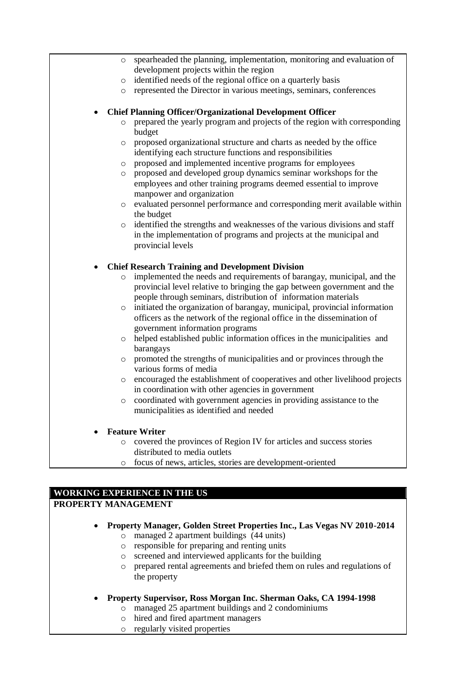| $\circ$ | spearheaded the planning, implementation, monitoring and evaluation of                         |
|---------|------------------------------------------------------------------------------------------------|
|         | development projects within the region                                                         |
| $\circ$ | identified needs of the regional office on a quarterly basis                                   |
| $\circ$ | represented the Director in various meetings, seminars, conferences                            |
|         |                                                                                                |
|         | <b>Chief Planning Officer/Organizational Development Officer</b>                               |
| $\circ$ | prepared the yearly program and projects of the region with corresponding<br>budget            |
| $\circ$ | proposed organizational structure and charts as needed by the office                           |
|         | identifying each structure functions and responsibilities                                      |
| $\circ$ | proposed and implemented incentive programs for employees                                      |
| $\circ$ | proposed and developed group dynamics seminar workshops for the                                |
|         | employees and other training programs deemed essential to improve<br>manpower and organization |
| $\circ$ | evaluated personnel performance and corresponding merit available within                       |
|         | the budget                                                                                     |
| $\circ$ | identified the strengths and weaknesses of the various divisions and staff                     |
|         | in the implementation of programs and projects at the municipal and                            |
|         | provincial levels                                                                              |
|         |                                                                                                |
|         | <b>Chief Research Training and Development Division</b>                                        |
|         |                                                                                                |
| $\circ$ | implemented the needs and requirements of barangay, municipal, and the                         |
|         | provincial level relative to bringing the gap between government and the                       |
|         | people through seminars, distribution of information materials                                 |
| $\circ$ | initiated the organization of barangay, municipal, provincial information                      |
|         | officers as the network of the regional office in the dissemination of                         |
|         | government information programs                                                                |
| $\circ$ | helped established public information offices in the municipalities and                        |
|         | barangays                                                                                      |
| $\circ$ | promoted the strengths of municipalities and or provinces through the                          |
|         | various forms of media                                                                         |
|         | o encouraged the establishment of cooperatives and other livelihood projects                   |
|         | in coordination with other agencies in government                                              |
| O       | coordinated with government agencies in providing assistance to the                            |
|         | municipalities as identified and needed                                                        |
|         |                                                                                                |
|         | <b>Feature Writer</b><br>covered the provinces of Region IV for articles and success stories   |

o focus of news, articles, stories are development-oriented

# **WORKING EXPERIENCE IN THE US**

# **PROPERTY MANAGEMENT**

- **Property Manager, Golden Street Properties Inc., Las Vegas NV 2010-2014**
	- o managed 2 apartment buildings (44 units)
	- o responsible for preparing and renting units
	- o screened and interviewed applicants for the building
	- o prepared rental agreements and briefed them on rules and regulations of the property
- **Property Supervisor, Ross Morgan Inc. Sherman Oaks, CA 1994-1998**
	- o managed 25 apartment buildings and 2 condominiums
	- o hired and fired apartment managers
	- o regularly visited properties